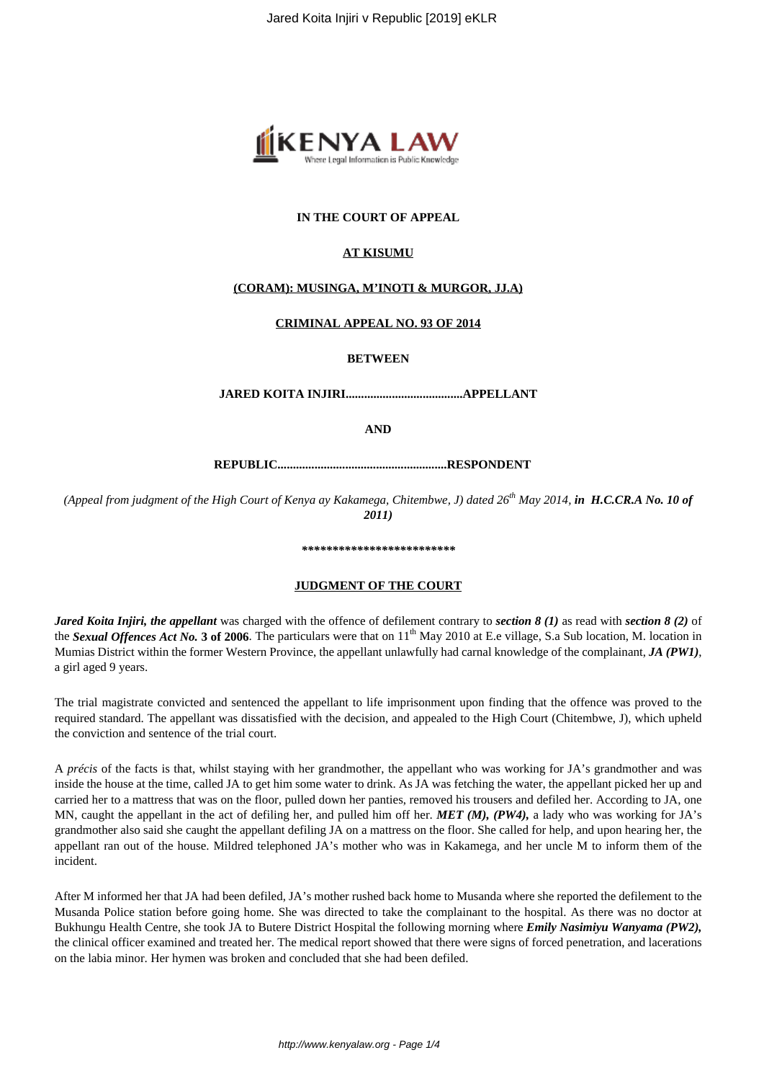

# **IN THE COURT OF APPEAL**

## **AT KISUMU**

### **(CORAM): MUSINGA, M'INOTI & MURGOR, JJ.A)**

### **CRIMINAL APPEAL NO. 93 OF 2014**

**BETWEEN**

**JARED KOITA INJIRI......................................APPELLANT**

**AND**

**REPUBLIC.......................................................RESPONDENT**

*(Appeal from judgment of the High Court of Kenya ay Kakamega, Chitembwe, J) dated 26th May 2014, in H.C.CR.A No. 10 of 2011)*

#### *\*\*\*\*\*\*\*\*\*\*\*\*\*\*\*\*\*\*\*\*\*\*\*\*\**

### **JUDGMENT OF THE COURT**

*Jared Koita Injiri, the appellant* was charged with the offence of defilement contrary to *section 8 (1)* as read with *section 8 (2)* of the *Sexual Offences Act No.* 3 of 2006. The particulars were that on 11<sup>th</sup> May 2010 at E.e village, S.a Sub location, M. location in Mumias District within the former Western Province, the appellant unlawfully had carnal knowledge of the complainant, *JA (PW1)*, a girl aged 9 years.

The trial magistrate convicted and sentenced the appellant to life imprisonment upon finding that the offence was proved to the required standard. The appellant was dissatisfied with the decision, and appealed to the High Court (Chitembwe, J), which upheld the conviction and sentence of the trial court.

A *précis* of the facts is that, whilst staying with her grandmother, the appellant who was working for JA's grandmother and was inside the house at the time, called JA to get him some water to drink. As JA was fetching the water, the appellant picked her up and carried her to a mattress that was on the floor, pulled down her panties, removed his trousers and defiled her. According to JA, one MN, caught the appellant in the act of defiling her, and pulled him off her. *MET (M), (PW4),* a lady who was working for JA's grandmother also said she caught the appellant defiling JA on a mattress on the floor. She called for help, and upon hearing her, the appellant ran out of the house. Mildred telephoned JA's mother who was in Kakamega, and her uncle M to inform them of the incident.

After M informed her that JA had been defiled, JA's mother rushed back home to Musanda where she reported the defilement to the Musanda Police station before going home. She was directed to take the complainant to the hospital. As there was no doctor at Bukhungu Health Centre, she took JA to Butere District Hospital the following morning where *Emily Nasimiyu Wanyama (PW2),* the clinical officer examined and treated her. The medical report showed that there were signs of forced penetration, and lacerations on the labia minor. Her hymen was broken and concluded that she had been defiled.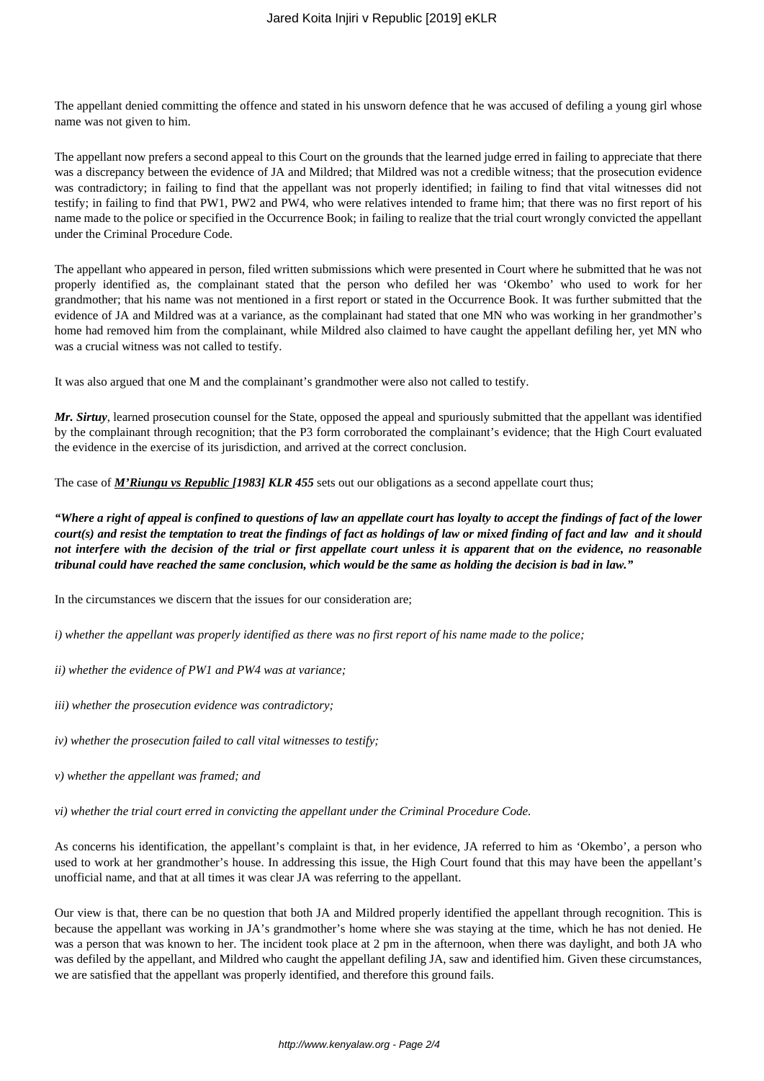The appellant denied committing the offence and stated in his unsworn defence that he was accused of defiling a young girl whose name was not given to him.

The appellant now prefers a second appeal to this Court on the grounds that the learned judge erred in failing to appreciate that there was a discrepancy between the evidence of JA and Mildred; that Mildred was not a credible witness; that the prosecution evidence was contradictory; in failing to find that the appellant was not properly identified; in failing to find that vital witnesses did not testify; in failing to find that PW1, PW2 and PW4, who were relatives intended to frame him; that there was no first report of his name made to the police or specified in the Occurrence Book; in failing to realize that the trial court wrongly convicted the appellant under the Criminal Procedure Code.

The appellant who appeared in person, filed written submissions which were presented in Court where he submitted that he was not properly identified as, the complainant stated that the person who defiled her was 'Okembo' who used to work for her grandmother; that his name was not mentioned in a first report or stated in the Occurrence Book. It was further submitted that the evidence of JA and Mildred was at a variance, as the complainant had stated that one MN who was working in her grandmother's home had removed him from the complainant, while Mildred also claimed to have caught the appellant defiling her, yet MN who was a crucial witness was not called to testify.

It was also argued that one M and the complainant's grandmother were also not called to testify.

*Mr. Sirtuy*, learned prosecution counsel for the State, opposed the appeal and spuriously submitted that the appellant was identified by the complainant through recognition; that the P3 form corroborated the complainant's evidence; that the High Court evaluated the evidence in the exercise of its jurisdiction, and arrived at the correct conclusion.

The case of *M'Riungu vs Republic [1983] KLR 455* sets out our obligations as a second appellate court thus;

*"Where a right of appeal is confined to questions of law an appellate court has loyalty to accept the findings of fact of the lower court(s) and resist the temptation to treat the findings of fact as holdings of law or mixed finding of fact and law and it should not interfere with the decision of the trial or first appellate court unless it is apparent that on the evidence, no reasonable tribunal could have reached the same conclusion, which would be the same as holding the decision is bad in law."*

In the circumstances we discern that the issues for our consideration are;

*i) whether the appellant was properly identified as there was no first report of his name made to the police;* 

*ii) whether the evidence of PW1 and PW4 was at variance;* 

*iii) whether the prosecution evidence was contradictory;* 

*iv) whether the prosecution failed to call vital witnesses to testify;* 

*v) whether the appellant was framed; and*

*vi) whether the trial court erred in convicting the appellant under the Criminal Procedure Code.*

As concerns his identification, the appellant's complaint is that, in her evidence, JA referred to him as 'Okembo', a person who used to work at her grandmother's house. In addressing this issue, the High Court found that this may have been the appellant's unofficial name, and that at all times it was clear JA was referring to the appellant.

Our view is that, there can be no question that both JA and Mildred properly identified the appellant through recognition. This is because the appellant was working in JA's grandmother's home where she was staying at the time, which he has not denied. He was a person that was known to her. The incident took place at 2 pm in the afternoon, when there was daylight, and both JA who was defiled by the appellant, and Mildred who caught the appellant defiling JA, saw and identified him. Given these circumstances, we are satisfied that the appellant was properly identified, and therefore this ground fails.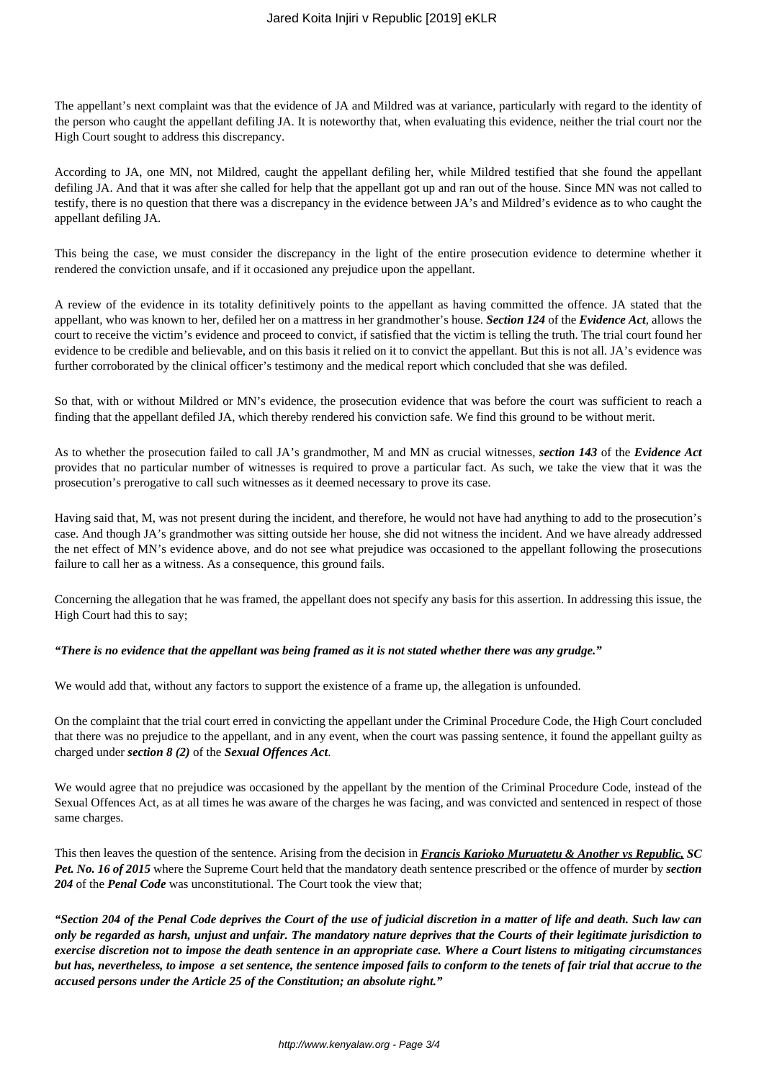The appellant's next complaint was that the evidence of JA and Mildred was at variance, particularly with regard to the identity of the person who caught the appellant defiling JA. It is noteworthy that, when evaluating this evidence, neither the trial court nor the High Court sought to address this discrepancy.

According to JA, one MN, not Mildred, caught the appellant defiling her, while Mildred testified that she found the appellant defiling JA. And that it was after she called for help that the appellant got up and ran out of the house. Since MN was not called to testify, there is no question that there was a discrepancy in the evidence between JA's and Mildred's evidence as to who caught the appellant defiling JA.

This being the case, we must consider the discrepancy in the light of the entire prosecution evidence to determine whether it rendered the conviction unsafe, and if it occasioned any prejudice upon the appellant.

A review of the evidence in its totality definitively points to the appellant as having committed the offence. JA stated that the appellant, who was known to her, defiled her on a mattress in her grandmother's house. *Section 124* of the *Evidence Act,* allows the court to receive the victim's evidence and proceed to convict, if satisfied that the victim is telling the truth. The trial court found her evidence to be credible and believable, and on this basis it relied on it to convict the appellant. But this is not all. JA's evidence was further corroborated by the clinical officer's testimony and the medical report which concluded that she was defiled.

So that, with or without Mildred or MN's evidence, the prosecution evidence that was before the court was sufficient to reach a finding that the appellant defiled JA, which thereby rendered his conviction safe. We find this ground to be without merit.

As to whether the prosecution failed to call JA's grandmother, M and MN as crucial witnesses, *section 143* of the *Evidence Act* provides that no particular number of witnesses is required to prove a particular fact. As such, we take the view that it was the prosecution's prerogative to call such witnesses as it deemed necessary to prove its case.

Having said that, M, was not present during the incident, and therefore, he would not have had anything to add to the prosecution's case. And though JA's grandmother was sitting outside her house, she did not witness the incident. And we have already addressed the net effect of MN's evidence above, and do not see what prejudice was occasioned to the appellant following the prosecutions failure to call her as a witness. As a consequence, this ground fails.

Concerning the allegation that he was framed, the appellant does not specify any basis for this assertion. In addressing this issue, the High Court had this to say;

# *"There is no evidence that the appellant was being framed as it is not stated whether there was any grudge."*

We would add that, without any factors to support the existence of a frame up, the allegation is unfounded.

On the complaint that the trial court erred in convicting the appellant under the Criminal Procedure Code, the High Court concluded that there was no prejudice to the appellant, and in any event, when the court was passing sentence, it found the appellant guilty as charged under *section 8 (2)* of the *Sexual Offences Act*.

We would agree that no prejudice was occasioned by the appellant by the mention of the Criminal Procedure Code, instead of the Sexual Offences Act, as at all times he was aware of the charges he was facing, and was convicted and sentenced in respect of those same charges.

This then leaves the question of the sentence. Arising from the decision in *Francis Karioko Muruatetu & Another vs Republic, SC Pet. No. 16 of 2015* where the Supreme Court held that the mandatory death sentence prescribed or the offence of murder by *section 204* of the *Penal Code* was unconstitutional. The Court took the view that;

*"Section 204 of the Penal Code deprives the Court of the use of judicial discretion in a matter of life and death. Such law can only be regarded as harsh, unjust and unfair. The mandatory nature deprives that the Courts of their legitimate jurisdiction to exercise discretion not to impose the death sentence in an appropriate case. Where a Court listens to mitigating circumstances but has, nevertheless, to impose a set sentence, the sentence imposed fails to conform to the tenets of fair trial that accrue to the accused persons under the Article 25 of the Constitution; an absolute right."*